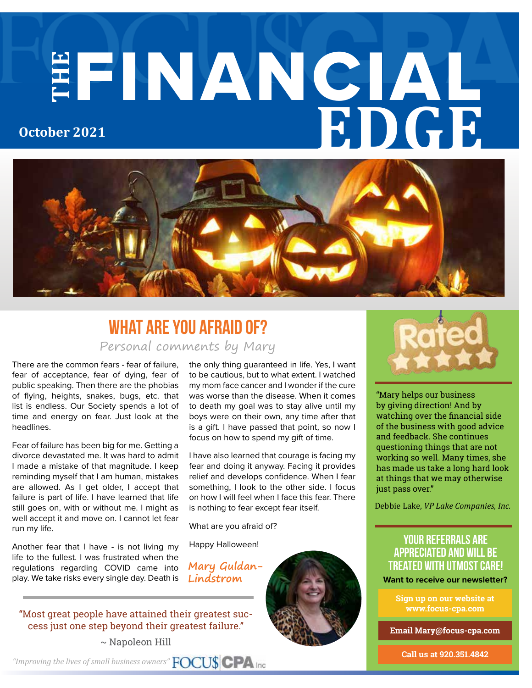# **THE** FINANCIAL **EDGE October 2021**



### Personal comments by Mary **What Are You Afraid Of?**

There are the common fears - fear of failure, fear of acceptance, fear of dying, fear of public speaking. Then there are the phobias of flying, heights, snakes, bugs, etc. that list is endless. Our Society spends a lot of time and energy on fear. Just look at the headlines.

Fear of failure has been big for me. Getting a divorce devastated me. It was hard to admit I made a mistake of that magnitude. I keep reminding myself that I am human, mistakes are allowed. As I get older, I accept that failure is part of life. I have learned that life still goes on, with or without me. I might as well accept it and move on. I cannot let fear run my life.

Another fear that I have - is not living my life to the fullest. I was frustrated when the regulations regarding COVID came into play. We take risks every single day. Death is

the only thing guaranteed in life. Yes, I want to be cautious, but to what extent. I watched my mom face cancer and I wonder if the cure was worse than the disease. When it comes to death my goal was to stay alive until my boys were on their own, any time after that is a gift. I have passed that point, so now I focus on how to spend my gift of time.

I have also learned that courage is facing my fear and doing it anyway. Facing it provides relief and develops confidence. When I fear something, I look to the other side. I focus on how I will feel when I face this fear. There is nothing to fear except fear itself.

What are you afraid of?

Happy Halloween!

**Mary Guldan-Lindstrom**



 $\sim$  Napoleon Hill



**Sign up on our website at www.focus-cpa.com**

**Email Mary@focus-cpa.com**

**Call us at 920.351.4842**



"Mary helps our business by giving direction! And by watching over the financial side of the business with good advice and feedback. She continues questioning things that are not working so well. Many times, she has made us take a long hard look at things that we may otherwise just pass over."

Debbie Lake, *VP Lake Companies, Inc.*

### **your referrals are appreciated and will be treated with utmost care! Want to receive our newsletter?**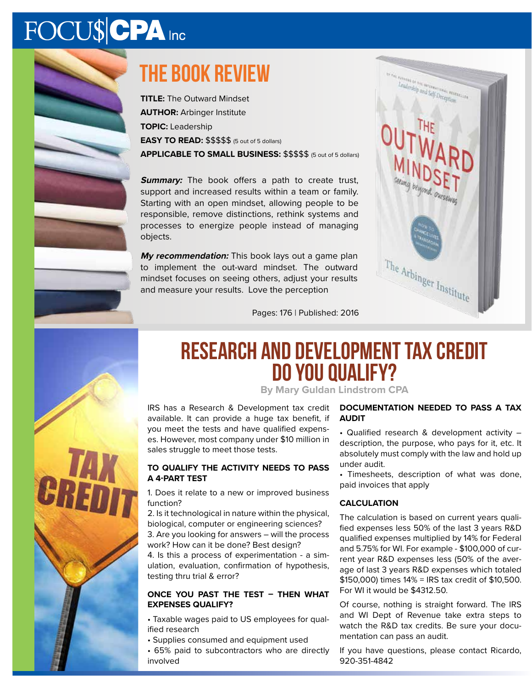# FOCU\$CPA Inc



## **The book review**

**TITLE:** The Outward Mindset **AUTHOR:** Arbinger Institute **TOPIC:** Leadership **EASY TO READ:** \$\$\$\$\$ (5 out of 5 dollars) **APPLICABLE TO SMALL BUSINESS:** \$\$\$\$\$ (5 out of 5 dollars)

**Summary:** The book offers a path to create trust, support and increased results within a team or family. Starting with an open mindset, allowing people to be responsible, remove distinctions, rethink systems and processes to energize people instead of managing objects.

**My recommendation:** This book lays out a game plan to implement the out-ward mindset. The outward mindset focuses on seeing others, adjust your results and measure your results. Love the perception



CRE

### **Research and Development Tax credit Do you qualify?**

Pages: 176 | Published: 2016

**By Mary Guldan Lindstrom CPA**

IRS has a Research & Development tax credit available. It can provide a huge tax benefit, if you meet the tests and have qualified expenses. However, most company under \$10 million in sales struggle to meet those tests.

#### **TO QUALIFY THE ACTIVITY NEEDS TO PASS A 4-PART TEST**

1. Does it relate to a new or improved business function?

2. Is it technological in nature within the physical, biological, computer or engineering sciences? 3. Are you looking for answers – will the process

work? How can it be done? Best design? 4. Is this a process of experimentation - a sim-

ulation, evaluation, confirmation of hypothesis, testing thru trial & error?

### **ONCE YOU PAST THE TEST – THEN WHAT EXPENSES QUALIFY?**

• Taxable wages paid to US employees for qualified research

- Supplies consumed and equipment used
- 65% paid to subcontractors who are directly involved

### **DOCUMENTATION NEEDED TO PASS A TAX AUDIT**

• Qualified research & development activity – description, the purpose, who pays for it, etc. It absolutely must comply with the law and hold up under audit.

• Timesheets, description of what was done, paid invoices that apply

### **CALCULATION**

The calculation is based on current years qualified expenses less 50% of the last 3 years R&D qualified expenses multiplied by 14% for Federal and 5.75% for WI. For example - \$100,000 of current year R&D expenses less (50% of the average of last 3 years R&D expenses which totaled \$150,000) times 14% = IRS tax credit of \$10,500. For WI it would be \$4312.50.

Of course, nothing is straight forward. The IRS and WI Dept of Revenue take extra steps to watch the R&D tax credits. Be sure your documentation can pass an audit.

If you have questions, please contact Ricardo, 920-351-4842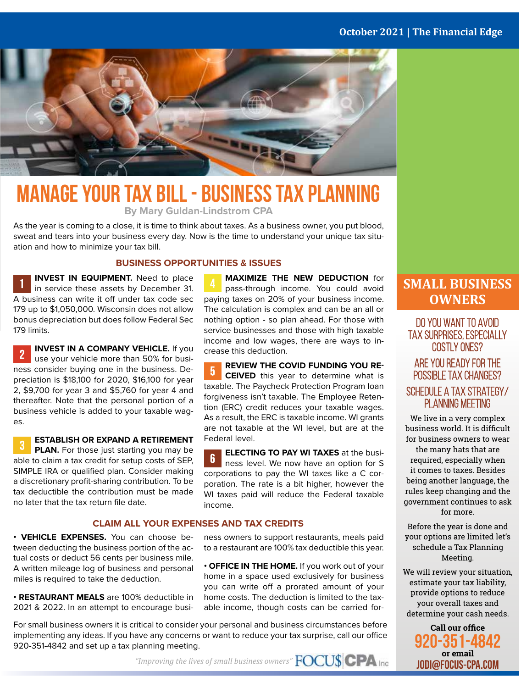### **October 2021 | The Financial Edge**



# **Manage your tax bill - business tax planning**

**By Mary Guldan-Lindstrom CPA**

As the year is coming to a close, it is time to think about taxes. As a business owner, you put blood, sweat and tears into your business every day. Now is the time to understand your unique tax situation and how to minimize your tax bill.

#### **BUSINESS OPPORTUNITIES & ISSUES**

**INVEST IN EQUIPMENT.** Need to place in service these assets by December 31. A business can write it off under tax code sec 179 up to \$1,050,000. Wisconsin does not allow bonus depreciation but does follow Federal Sec 179 limits.

**INVEST IN A COMPANY VEHICLE.** If you use your vehicle more than 50% for business consider buying one in the business. Depreciation is \$18,100 for 2020, \$16,100 for year 2, \$9,700 for year 3 and \$5,760 for year 4 and thereafter. Note that the personal portion of a business vehicle is added to your taxable wages.

**ESTABLISH OR EXPAND A RETIREMENT PLAN.** For those just starting you may be able to claim a tax credit for setup costs of SEP, SIMPLE IRA or qualified plan. Consider making a discretionary profit-sharing contribution. To be tax deductible the contribution must be made no later that the tax return file date.

#### **CLAIM ALL YOUR EXPENSES AND TAX CREDITS**

**• VEHICLE EXPENSES.** You can choose between deducting the business portion of the actual costs or deduct 56 cents per business mile. A written mileage log of business and personal miles is required to take the deduction.

**• RESTAURANT MEALS** are 100% deductible in 2021 & 2022. In an attempt to encourage busi-

For small business owners it is critical to consider your personal and business circumstances before implementing any ideas. If you have any concerns or want to reduce your tax surprise, call our office 920-351-4842 and set up a tax planning meeting.

**MAXIMIZE THE NEW DEDUCTION** for pass-through income. You could avoid paying taxes on 20% of your business income. The calculation is complex and can be an all or nothing option - so plan ahead. For those with service businesses and those with high taxable income and low wages, there are ways to increase this deduction.

**REVIEW THE COVID FUNDING YOU RE-** $\overline{5}$ **CEIVED** this year to determine what is taxable. The Paycheck Protection Program loan forgiveness isn't taxable. The Employee Retention (ERC) credit reduces your taxable wages. As a result, the ERC is taxable income. WI grants are not taxable at the WI level, but are at the Federal level.

**ELECTING TO PAY WI TAXES** at the busi- $6<sup>1</sup>$ ness level. We now have an option for S corporations to pay the WI taxes like a C corporation. The rate is a bit higher, however the WI taxes paid will reduce the Federal taxable income.

ness owners to support restaurants, meals paid to a restaurant are 100% tax deductible this year.

**• OFFICE IN THE HOME.** If you work out of your home in a space used exclusively for business you can write off a prorated amount of your home costs. The deduction is limited to the taxable income, though costs can be carried for-

### **SMALL BUSINESS OWNERS**

Do you want to avoid tax surprises, especially costly ones?

### Are you ready for the possible tax changes? Schedule a Tax Strategy/ PLANNING MEETING

We live in a very complex business world. It is difficult for business owners to wear the many hats that are required, especially when it comes to taxes. Besides being another language, the rules keep changing and the government continues to ask for more.

Before the year is done and your options are limited let's schedule a Tax Planning Meeting.

We will review your situation, estimate your tax liability, provide options to reduce your overall taxes and determine your cash needs.

**Call our office 920-351-4842 or email JODI@FOCUS-CPA.COM**

*"Improving the lives of small business owners"*